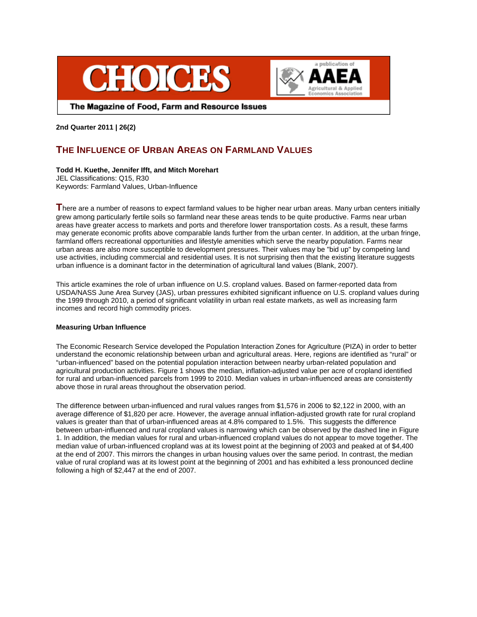



The Magazine of Food, Farm and Resource Issues

## **2nd Quarter 2011 | 26(2)**

# **THE INFLUENCE OF URBAN AREAS ON FARMLAND VALUES**

## **Todd H. Kuethe, Jennifer Ifft, and Mitch Morehart**

JEL Classifications: Q15, R30 Keywords: Farmland Values, Urban-Influence

**T**here are a number of reasons to expect farmland values to be higher near urban areas. Many urban centers initially grew among particularly fertile soils so farmland near these areas tends to be quite productive. Farms near urban areas have greater access to markets and ports and therefore lower transportation costs. As a result, these farms may generate economic profits above comparable lands further from the urban center. In addition, at the urban fringe, farmland offers recreational opportunities and lifestyle amenities which serve the nearby population. Farms near urban areas are also more susceptible to development pressures. Their values may be "bid up" by competing land use activities, including commercial and residential uses. It is not surprising then that the existing literature suggests urban influence is a dominant factor in the determination of agricultural land values (Blank, 2007).

This article examines the role of urban influence on U.S. cropland values. Based on farmer-reported data from USDA/NASS June Area Survey (JAS), urban pressures exhibited significant influence on U.S. cropland values during the 1999 through 2010, a period of significant volatility in urban real estate markets, as well as increasing farm incomes and record high commodity prices.

## **Measuring Urban Influence**

The Economic Research Service developed the Population Interaction Zones for Agriculture (PIZA) in order to better understand the economic relationship between urban and agricultural areas. Here, regions are identified as "rural" or "urban-influenced" based on the potential population interaction between nearby urban-related population and agricultural production activities. Figure 1 shows the median, inflation-adjusted value per acre of cropland identified for rural and urban-influenced parcels from 1999 to 2010. Median values in urban-influenced areas are consistently above those in rural areas throughout the observation period.

The difference between urban-influenced and rural values ranges from \$1,576 in 2006 to \$2,122 in 2000, with an average difference of \$1,820 per acre. However, the average annual inflation-adjusted growth rate for rural cropland values is greater than that of urban-influenced areas at 4.8% compared to 1.5%. This suggests the difference between urban-influenced and rural cropland values is narrowing which can be observed by the dashed line in Figure 1. In addition, the median values for rural and urban-influenced cropland values do not appear to move together. The median value of urban-influenced cropland was at its lowest point at the beginning of 2003 and peaked at of \$4,400 at the end of 2007. This mirrors the changes in urban housing values over the same period. In contrast, the median value of rural cropland was at its lowest point at the beginning of 2001 and has exhibited a less pronounced decline following a high of \$2,447 at the end of 2007.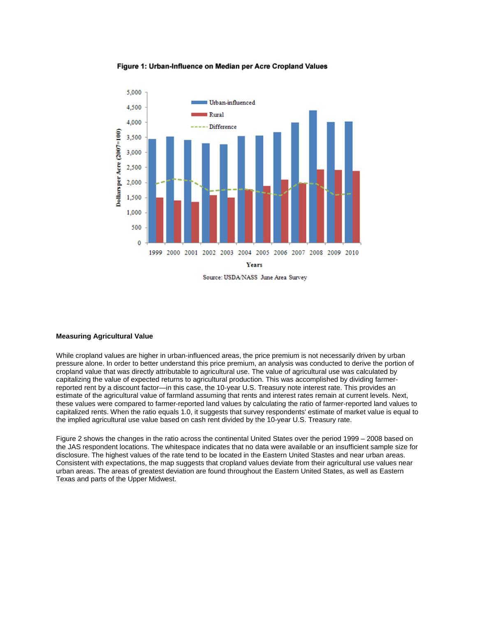



## **Measuring Agricultural Value**

While cropland values are higher in urban-influenced areas, the price premium is not necessarily driven by urban pressure alone. In order to better understand this price premium, an analysis was conducted to derive the portion of cropland value that was directly attributable to agricultural use. The value of agricultural use was calculated by capitalizing the value of expected returns to agricultural production. This was accomplished by dividing farmerreported rent by a discount factor—in this case, the 10-year U.S. Treasury note interest rate. This provides an estimate of the agricultural value of farmland assuming that rents and interest rates remain at current levels. Next, these values were compared to farmer-reported land values by calculating the ratio of farmer-reported land values to capitalized rents. When the ratio equals 1.0, it suggests that survey respondents' estimate of market value is equal to the implied agricultural use value based on cash rent divided by the 10-year U.S. Treasury rate.

Figure 2 shows the changes in the ratio across the continental United States over the period 1999 – 2008 based on the JAS respondent locations. The whitespace indicates that no data were available or an insufficient sample size for disclosure. The highest values of the rate tend to be located in the Eastern United Stastes and near urban areas. Consistent with expectations, the map suggests that cropland values deviate from their agricultural use values near urban areas. The areas of greatest deviation are found throughout the Eastern United States, as well as Eastern Texas and parts of the Upper Midwest.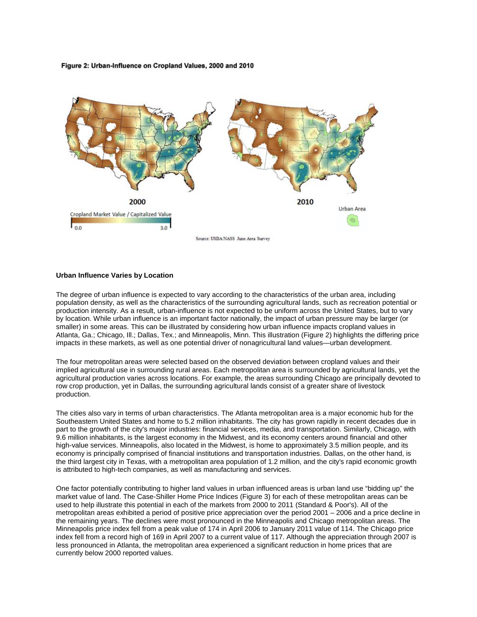Figure 2: Urban-Influence on Cropland Values, 2000 and 2010



#### **Urban Influence Varies by Location**

The degree of urban influence is expected to vary according to the characteristics of the urban area, including population density, as well as the characteristics of the surrounding agricultural lands, such as recreation potential or production intensity. As a result, urban-influence is not expected to be uniform across the United States, but to vary by location. While urban influence is an important factor nationally, the impact of urban pressure may be larger (or smaller) in some areas. This can be illustrated by considering how urban influence impacts cropland values in Atlanta, Ga.; Chicago, Ill.; Dallas, Tex.; and Minneapolis, Minn. This illustration (Figure 2) highlights the differing price impacts in these markets, as well as one potential driver of nonagricultural land values—urban development.

The four metropolitan areas were selected based on the observed deviation between cropland values and their implied agricultural use in surrounding rural areas. Each metropolitan area is surrounded by agricultural lands, yet the agricultural production varies across locations. For example, the areas surrounding Chicago are principally devoted to row crop production, yet in Dallas, the surrounding agricultural lands consist of a greater share of livestock production.

The cities also vary in terms of urban characteristics. The Atlanta metropolitan area is a major economic hub for the Southeastern United States and home to 5.2 million inhabitants. The city has grown rapidly in recent decades due in part to the growth of the city's major industries: financial services, media, and transportation. Similarly, Chicago, with 9.6 million inhabitants, is the largest economy in the Midwest, and its economy centers around financial and other high-value services. Minneapolis, also located in the Midwest, is home to approximately 3.5 million people, and its economy is principally comprised of financial institutions and transportation industries. Dallas, on the other hand, is the third largest city in Texas, with a metropolitan area population of 1.2 million, and the city's rapid economic growth is attributed to high-tech companies, as well as manufacturing and services.

One factor potentially contributing to higher land values in urban influenced areas is urban land use "bidding up" the market value of land. The Case-Shiller Home Price Indices (Figure 3) for each of these metropolitan areas can be used to help illustrate this potential in each of the markets from 2000 to 2011 (Standard & Poor's). All of the metropolitan areas exhibited a period of positive price appreciation over the period 2001 – 2006 and a price decline in the remaining years. The declines were most pronounced in the Minneapolis and Chicago metropolitan areas. The Minneapolis price index fell from a peak value of 174 in April 2006 to January 2011 value of 114. The Chicago price index fell from a record high of 169 in April 2007 to a current value of 117. Although the appreciation through 2007 is less pronounced in Atlanta, the metropolitan area experienced a significant reduction in home prices that are currently below 2000 reported values.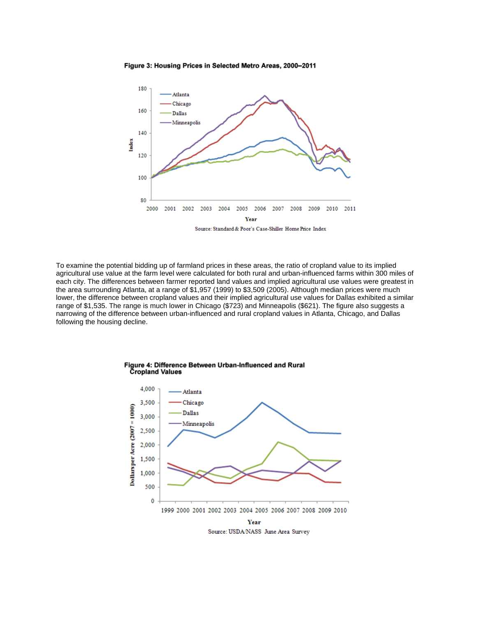Figure 3: Housing Prices in Selected Metro Areas, 2000-2011



To examine the potential bidding up of farmland prices in these areas, the ratio of cropland value to its implied agricultural use value at the farm level were calculated for both rural and urban-influenced farms within 300 miles of each city. The differences between farmer reported land values and implied agricultural use values were greatest in the area surrounding Atlanta, at a range of \$1,957 (1999) to \$3,509 (2005). Although median prices were much lower, the difference between cropland values and their implied agricultural use values for Dallas exhibited a similar range of \$1,535. The range is much lower in Chicago (\$723) and Minneapolis (\$621). The figure also suggests a narrowing of the difference between urban-influenced and rural cropland values in Atlanta, Chicago, and Dallas following the housing decline.



Figure 4: Difference Between Urban-Influenced and Rural **Čropland Values**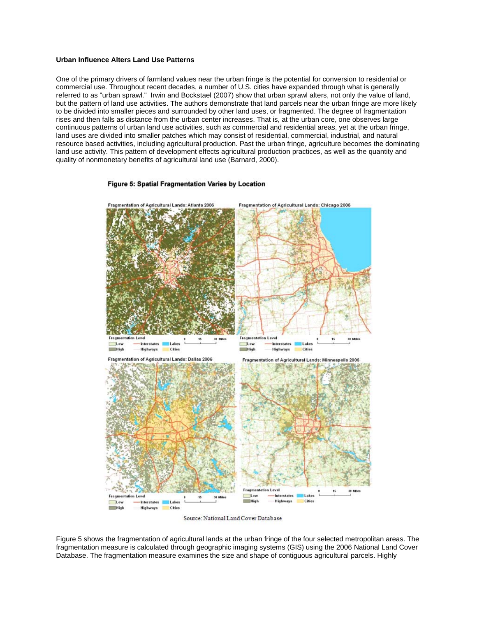## **Urban Influence Alters Land Use Patterns**

One of the primary drivers of farmland values near the urban fringe is the potential for conversion to residential or commercial use. Throughout recent decades, a number of U.S. cities have expanded through what is generally referred to as "urban sprawl." Irwin and Bockstael (2007) show that urban sprawl alters, not only the value of land, but the pattern of land use activities. The authors demonstrate that land parcels near the urban fringe are more likely to be divided into smaller pieces and surrounded by other land uses, or fragmented. The degree of fragmentation rises and then falls as distance from the urban center increases. That is, at the urban core, one observes large continuous patterns of urban land use activities, such as commercial and residential areas, yet at the urban fringe, land uses are divided into smaller patches which may consist of residential, commercial, industrial, and natural resource based activities, including agricultural production. Past the urban fringe, agriculture becomes the dominating land use activity. This pattern of development effects agricultural production practices, as well as the quantity and quality of nonmonetary benefits of agricultural land use (Barnard, 2000).

#### Figure 5: Spatial Fragmentation Varies by Location



Source: National Land Cover Database

Figure 5 shows the fragmentation of agricultural lands at the urban fringe of the four selected metropolitan areas. The fragmentation measure is calculated through geographic imaging systems (GIS) using the 2006 National Land Cover Database. The fragmentation measure examines the size and shape of contiguous agricultural parcels. Highly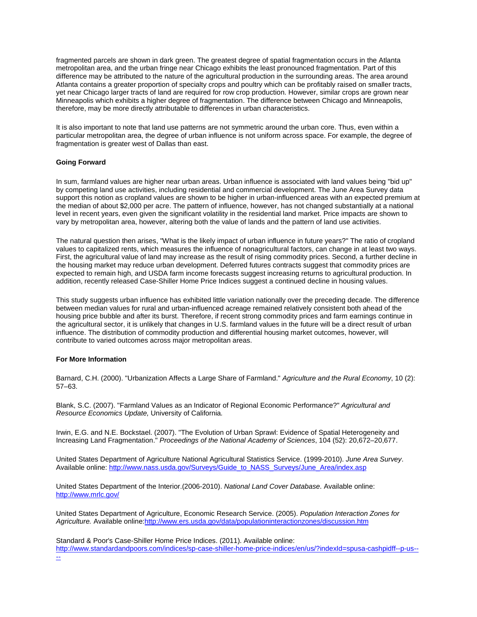fragmented parcels are shown in dark green. The greatest degree of spatial fragmentation occurs in the Atlanta metropolitan area, and the urban fringe near Chicago exhibits the least pronounced fragmentation. Part of this difference may be attributed to the nature of the agricultural production in the surrounding areas. The area around Atlanta contains a greater proportion of specialty crops and poultry which can be profitably raised on smaller tracts, yet near Chicago larger tracts of land are required for row crop production. However, similar crops are grown near Minneapolis which exhibits a higher degree of fragmentation. The difference between Chicago and Minneapolis, therefore, may be more directly attributable to differences in urban characteristics.

It is also important to note that land use patterns are not symmetric around the urban core. Thus, even within a particular metropolitan area, the degree of urban influence is not uniform across space. For example, the degree of fragmentation is greater west of Dallas than east.

### **Going Forward**

In sum, farmland values are higher near urban areas. Urban influence is associated with land values being "bid up" by competing land use activities, including residential and commercial development. The June Area Survey data support this notion as cropland values are shown to be higher in urban-influenced areas with an expected premium at the median of about \$2,000 per acre. The pattern of influence, however, has not changed substantially at a national level in recent years, even given the significant volatility in the residential land market. Price impacts are shown to vary by metropolitan area, however, altering both the value of lands and the pattern of land use activities.

The natural question then arises, "What is the likely impact of urban influence in future years?" The ratio of cropland values to capitalized rents, which measures the influence of nonagricultural factors, can change in at least two ways. First, the agricultural value of land may increase as the result of rising commodity prices. Second, a further decline in the housing market may reduce urban development. Deferred futures contracts suggest that commodity prices are expected to remain high, and USDA farm income forecasts suggest increasing returns to agricultural production. In addition, recently released Case-Shiller Home Price Indices suggest a continued decline in housing values.

This study suggests urban influence has exhibited little variation nationally over the preceding decade. The difference between median values for rural and urban-influenced acreage remained relatively consistent both ahead of the housing price bubble and after its burst. Therefore, if recent strong commodity prices and farm earnings continue in the agricultural sector, it is unlikely that changes in U.S. farmland values in the future will be a direct result of urban influence. The distribution of commodity production and differential housing market outcomes, however, will contribute to varied outcomes across major metropolitan areas.

#### **For More Information**

Barnard, C.H. (2000). "Urbanization Affects a Large Share of Farmland." *Agriculture and the Rural Economy*, 10 (2): 57–63.

Blank, S.C. (2007). "Farmland Values as an Indicator of Regional Economic Performance?" *Agricultural and Resource Economics Update,* University of California*.*

Irwin, E.G. and N.E. Bockstael. (2007). "The Evolution of Urban Sprawl: Evidence of Spatial Heterogeneity and Increasing Land Fragmentation." *Proceedings of the National Academy of Sciences*, 104 (52): 20,672–20,677.

United States Department of Agriculture National Agricultural Statistics Service. (1999-2010). *June Area Survey*. Available online: [http://www.nass.usda.gov/Surveys/Guide\\_to\\_NASS\\_Surveys/June\\_Area/index.asp](http://www.nass.usda.gov/Surveys/Guide_to_NASS_Surveys/June_Area/index.asp)

United States Department of the Interior.(2006-2010). *National Land Cover Database*. Available online: <http://www.mrlc.gov/>

United States Department of Agriculture, Economic Research Service. (2005). *Population Interaction Zones for Agriculture.* Available onlin[e:http://www.ers.usda.gov/data/populationinteractionzones/discussion.htm](http://www.ers.usda.gov/data/populationinteractionzones/discussion.htm)

Standard & Poor's Case-Shiller Home Price Indices. (2011). Available online: [http://www.standardandpoors.com/indices/sp-case-shiller-home-price-indices/en/us/?indexId=spusa-cashpidff--p-us--](http://www.standardandpoors.com/indices/sp-case-shiller-home-price-indices/en/us/?indexId=spusa-cashpidff--p-us----) [--](http://www.standardandpoors.com/indices/sp-case-shiller-home-price-indices/en/us/?indexId=spusa-cashpidff--p-us----)